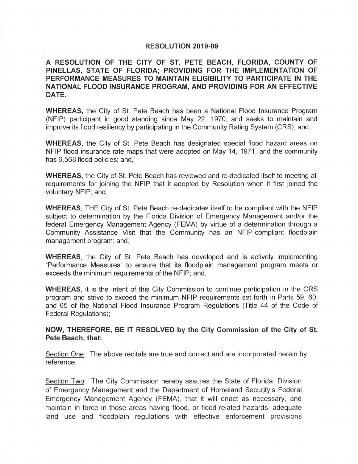## RESOLUTION 2019-09

A RESOLUTION OF THE CITY OF ST. PETE BEACH, FLORIDA, COUNTY OF PINELLAS, STATE OF FLORIDA; PROVIDING FOR THE IMPLEMENTATION OF PERFORMANCE MEASURES TO MAINTAIN ELIGIBILITY TO PARTICIPATE IN THE NATIONAL FLOOD INSURANCE PROGRAM, AND PROVIDING FOR AN EFFECTIVE DATE.

WHEREAS, the City of St. Pete Beach has been a National Flood Insurance Program (NFIP) participant in good standing since May 22, 1970, and seeks to maintain and improve its flood resiliency by participating in the Community Rating System (CRS); and ,

WHEREAS, the City of St. Pete Beach has designated special flood hazard areas on NFIP flood insurance rate maps that were adopted on May 14, 1971, and the community has 6,568 flood policies; and,

WHEREAS, the City of St. Pete Beach has reviewed and re-dedicated itself to meeting all requirements for joining the NFIP that it adopted by Resolution when it first joined the voluntary NFIP; and,

WHEREAS, THE City of St. Pete Beach re-dedicates itself to be compliant with the NFIP subject to determination by the Florida Division of Emergency Management and/or the federal Emergency Management Agency (FEMA) by virtue of a determination through a Community Assistance Visit that the Community has an NFIP-compliant floodplain management program; and,

WHEREAS, the City of St. Pete Beach has developed and is actively implementing . "Performance Measures" to ensure that its floodplain management program meets or exceeds the minimum requirements of the NFIP; and,

WHEREAS, it is the intent of this City Commission to continue participation in the CRS program and strive to exceed the minimum NFIP requirements set forth in Parts 59, 60, and 65 of the National Flood Insurance Program Regulations (Title 44 of the Code of Federal Regulations);

NOW, THEREFORE, BE IT RESOLVED by the City Commission of the City of St. Pete Beach, that:

Section One: The above recitals are true and correct and are incorporated herein by reference.

Section Two: The City Commission hereby assures the State of Florida, Division of Emergency Management and the Department of Homeland Security's Federal Emergency Management Agency (FEMA), that it will enact as necessary, and maintain in force in those areas having flood , or flood-related hazards, adequate land use and floodplain regulations with effective enforcement provisions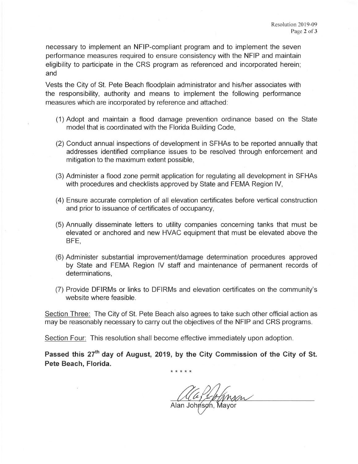necessary to implement an NFIP-compliant program and to implement the seven performance measures required to ensure consistency with the NFIP and maintain eligibility to participate in the CRS program as referenced and incorporated herein; and

Vests the City of St. Pete Beach floodplain administrator and his/her associates with the responsibility, authority and means to implement the following performance measures which are incorporated by reference and attached:

- (1) Adopt and maintain a flood damage prevention ordinance based on the State model that is coordinated with the Florida Building Code,
- (2) Conduct annual inspections of development in SFHAs to be reported annually that addresses identified compliance issues to be resolved through enforcement and mitigation to the maximum extent possible,
- (3) Administer a flood zone permit application for regulating all development in SFHAs with procedures and checklists approved by State and FEMA Region IV,
- (4) Ensure accurate completion of all elevation certificates before vertical construction and prior to issuance of certificates of occupancy,
- (5) Annually disseminate letters to utility companies concerning tanks that must be elevated or anchored and new HVAC equipment that must be elevated above the BFE,
- (6) Administer substantial improvement/damage determination procedures approved by State and FEMA Region IV staff and maintenance of permanent records of determinations,
- (7) Provide DFIRMs or links to DFIRMs and elevation certificates on the community's website where feasible.

Section Three: The City of St. Pete Beach also agrees to take such other official action as may be reasonably necessary to carry out the objectives of the NFIP and CRS programs.

Section Four: This resolution shall become effective immediately upon adoption.

Passed this 27<sup>th</sup> day of August, 2019, by the City Commission of the City of St. **Pete Beach, Florida.** 

\* \* \* \* \*

Alafter Mysen